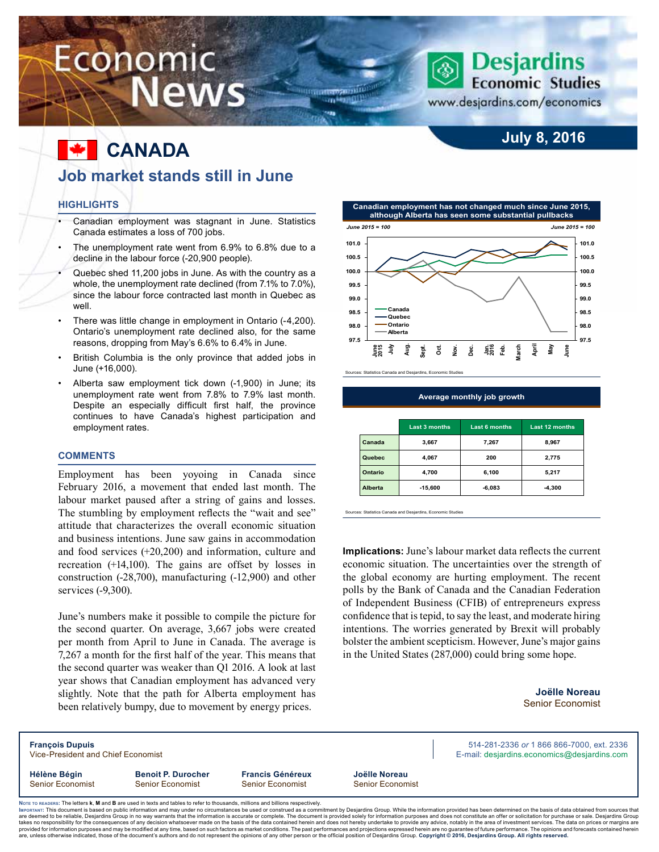# Economic **News**

### **Desjardins Economic Studies**

**July 8, 2016**

www.desjardins.com/economics

### **F** CANADA **Job market stands still in June**

#### **Highlights**

- Canadian employment was stagnant in June. Statistics Canada estimates a loss of 700 jobs.
- The unemployment rate went from 6.9% to 6.8% due to a decline in the labour force (-20,900 people).
- Quebec shed 11,200 jobs in June. As with the country as a whole, the unemployment rate declined (from 7.1% to 7.0%), since the labour force contracted last month in Quebec as well
- There was little change in employment in Ontario (-4,200). Ontario's unemployment rate declined also, for the same reasons, dropping from May's 6.6% to 6.4% in June.
- British Columbia is the only province that added jobs in June (+16,000).
- Alberta saw employment tick down (-1,900) in June; its unemployment rate went from 7.8% to 7.9% last month. Despite an especially difficult first half, the province continues to have Canada's highest participation and employment rates.

#### **Comments**

Employment has been yoyoing in Canada since February 2016, a movement that ended last month. The labour market paused after a string of gains and losses. The stumbling by employment reflects the "wait and see" attitude that characterizes the overall economic situation and business intentions. June saw gains in accommodation and food services (+20,200) and information, culture and recreation (+14,100). The gains are offset by losses in construction (-28,700), manufacturing (-12,900) and other services (-9,300).

June's numbers make it possible to compile the picture for the second quarter. On average, 3,667 jobs were created per month from April to June in Canada. The average is 7,267 a month for the first half of the year. This means that the second quarter was weaker than Q1 2016. A look at last year shows that Canadian employment has advanced very slightly. Note that the path for Alberta employment has been relatively bumpy, due to movement by energy prices.



Sources: Statistics Canada and Desjardins, Economic Studies

**TELEVision Constitution** on Handi

**Average monthly job growth**

|         | <b>Last 3 months</b> | <b>Last 6 months</b> | Last 12 months |
|---------|----------------------|----------------------|----------------|
| Canada  | 3,667                | 7,267                | 8,967          |
| Quebec  | 4,067                | 200                  | 2,775          |
| Ontario | 4,700                | 6,100                | 5,217          |
| Alberta | $-15,600$            | $-6,083$             | $-4,300$       |

Sources: Statistics Canada and Desjardins, Economic Studies

**Implications:** June's labour market data reflects the current economic situation. The uncertainties over the strength of the global economy are hurting employment. The recent polls by the Bank of Canada and the Canadian Federation of Independent Business (CFIB) of entrepreneurs express confidence that is tepid, to say the least, and moderate hiring intentions. The worries generated by Brexit will probably bolster the ambient scepticism. However, June's major gains in the United States (287,000) could bring some hope.

> **Joëlle Noreau** Senior Economist

| <b>François Dupuis</b><br>Vice-President and Chief Economist                                                                                                                                                                                                                                                                                                      |                                               | 514-281-2336 or 1 866 866-7000, ext. 2336<br>E-mail: desjardins.economics@desjardins.com |                                   |  |  |  |  |  |
|-------------------------------------------------------------------------------------------------------------------------------------------------------------------------------------------------------------------------------------------------------------------------------------------------------------------------------------------------------------------|-----------------------------------------------|------------------------------------------------------------------------------------------|-----------------------------------|--|--|--|--|--|
| Hélène Bégin<br>Senior Economist                                                                                                                                                                                                                                                                                                                                  | <b>Benoit P. Durocher</b><br>Senior Economist | <b>Francis Généreux</b><br><b>Senior Economist</b>                                       | Joëlle Noreau<br>Senior Economist |  |  |  |  |  |
| Note to READERS: The letters k, M and B are used in texts and tables to refer to thousands, millions and billions respectively.<br>Iмроктакт: This document is based on public information and may under no circumstances be used or construed as a commitment by Desiardins Group. While the information provided has been determined on the basis of data obtai |                                               |                                                                                          |                                   |  |  |  |  |  |

Імроктакт: This document is based on public information and may under no circumstances be used or construed as a commitment by Desjardins Group. While the information provided has been determined on the basis of data obta takes no responsibility for the consequences of any decision whatsoever made on the basis of the data contained herein and does not hereby undertake to provide any advice, notably in the area of investment services. The da are, unless otherwise indicated, those of the document's authors and do not represent the opinions of any other person or the official position of Desjardins Group. Copyright © 2016, Desjardins Group. All rights reserved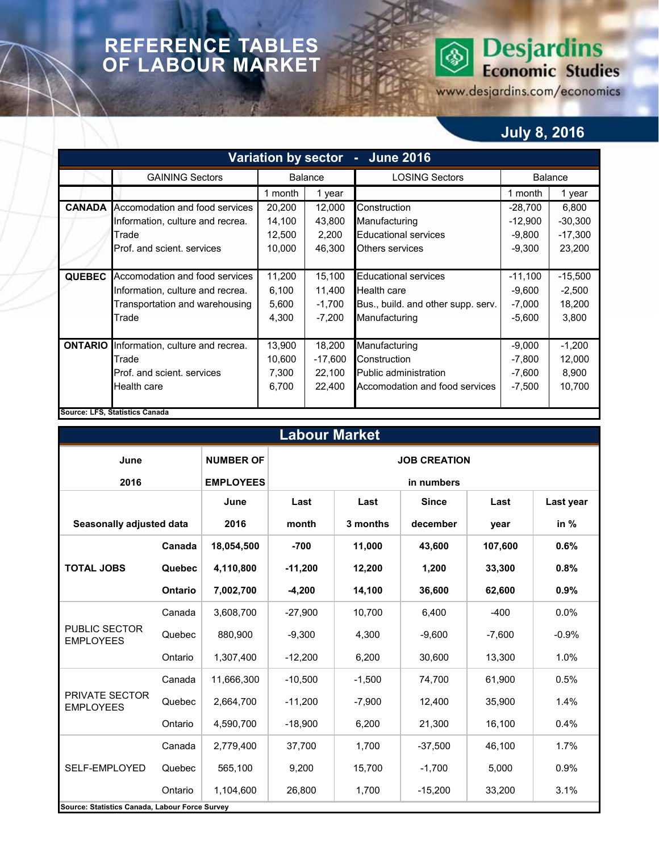### **REFERENCE TABLES OF LABOUR MARKET**

## **Desjardins**<br>Economic Studies ◈

www.desjardins.com/economics

### **July 8, 2016**

|                |                                  |         |                                                  | Variation by sector - June 2016    |           |           |
|----------------|----------------------------------|---------|--------------------------------------------------|------------------------------------|-----------|-----------|
|                | <b>GAINING Sectors</b>           |         | <b>Balance</b>                                   | <b>LOSING Sectors</b>              | Balance   |           |
|                |                                  | 1 month | 1 year                                           |                                    | 1 month   | 1 year    |
| <b>CANADA</b>  | Accomodation and food services   | 20,200  | 12,000                                           | Construction                       | $-28,700$ | 6,800     |
|                | Information, culture and recrea. | 14,100  | 43,800                                           | Manufacturing                      | $-12,900$ | $-30,300$ |
|                | Trade                            | 12,500  | $-9,800$<br>2,200<br><b>Educational services</b> |                                    |           |           |
|                | Prof. and scient. services       | 10,000  | 46,300                                           | Others services                    | $-9,300$  | 23,200    |
|                |                                  |         |                                                  |                                    |           |           |
| <b>QUEBEC</b>  | Accomodation and food services   | 11,200  | 15,100                                           | <b>Educational services</b>        | $-11,100$ | $-15,500$ |
|                | Information, culture and recrea. | 6,100   | 11,400                                           | Health care                        | $-9,600$  | $-2,500$  |
|                | Transportation and warehousing   | 5,600   | $-1,700$                                         | Bus., build. and other supp. serv. | $-7,000$  | 18,200    |
|                | Trade                            | 4,300   | -7,200                                           | Manufacturing                      | $-5,600$  | 3,800     |
|                |                                  |         |                                                  |                                    |           |           |
| <b>ONTARIO</b> | Information, culture and recrea. | 13,900  | 18,200                                           | Manufacturing                      | $-9,000$  | $-1,200$  |
|                | Trade                            | 10,600  | $-17,600$                                        | Construction                       | $-7,800$  | 12,000    |
|                | Prof. and scient. services       | 7,300   | 22,100                                           | <b>Public administration</b>       | $-7,600$  | 8,900     |
|                | Health care                      | 6,700   | 22,400                                           | Accomodation and food services     | $-7,500$  | 10,700    |
|                |                                  |         |                                                  |                                    |           |           |
|                | Source: LFS, Statistics Canada   |         |                                                  |                                    |           |           |

| <b>Labour Market</b>                           |                |                  |                     |          |              |          |           |  |  |  |  |
|------------------------------------------------|----------------|------------------|---------------------|----------|--------------|----------|-----------|--|--|--|--|
| June                                           |                | <b>NUMBER OF</b> | <b>JOB CREATION</b> |          |              |          |           |  |  |  |  |
| 2016                                           |                | <b>EMPLOYEES</b> | in numbers          |          |              |          |           |  |  |  |  |
|                                                |                | June             | Last                | Last     | <b>Since</b> | Last     | Last year |  |  |  |  |
| Seasonally adjusted data                       |                | 2016             | month               | 3 months | december     | year     | in $%$    |  |  |  |  |
|                                                | Canada         | 18,054,500       | $-700$              | 11,000   | 43,600       | 107,600  | 0.6%      |  |  |  |  |
| <b>TOTAL JOBS</b>                              | Quebec         | 4,110,800        | $-11,200$           | 12,200   | 1,200        | 33,300   | 0.8%      |  |  |  |  |
|                                                | <b>Ontario</b> | 7,002,700        | $-4,200$            | 14,100   | 36,600       | 62,600   | 0.9%      |  |  |  |  |
|                                                | Canada         | 3,608,700        | $-27,900$           | 10,700   | 6,400        | $-400$   | 0.0%      |  |  |  |  |
| <b>PUBLIC SECTOR</b><br><b>EMPLOYEES</b>       | Quebec         | 880,900          | $-9,300$            | 4,300    | $-9,600$     | $-7,600$ | $-0.9%$   |  |  |  |  |
|                                                | Ontario        | 1,307,400        | $-12,200$           | 6,200    | 30,600       | 13,300   | 1.0%      |  |  |  |  |
|                                                | Canada         | 11,666,300       | $-10.500$           | $-1.500$ | 74.700       | 61.900   | 0.5%      |  |  |  |  |
| <b>PRIVATE SECTOR</b><br><b>EMPLOYEES</b>      | Quebec         | 2,664,700        | $-11,200$           | $-7,900$ | 12,400       | 35,900   | 1.4%      |  |  |  |  |
|                                                | Ontario        | 4,590,700        | $-18,900$           | 6,200    | 21,300       | 16,100   | 0.4%      |  |  |  |  |
|                                                | Canada         | 2,779,400        | 37,700              | 1,700    | $-37,500$    | 46,100   | 1.7%      |  |  |  |  |
| SELF-EMPLOYED                                  | Quebec         | 565,100          | 9,200               | 15,700   | $-1,700$     | 5,000    | 0.9%      |  |  |  |  |
|                                                | Ontario        | 1,104,600        | 26,800              | 1,700    | $-15,200$    | 33,200   | 3.1%      |  |  |  |  |
| Source: Statistics Canada, Labour Force Survey |                |                  |                     |          |              |          |           |  |  |  |  |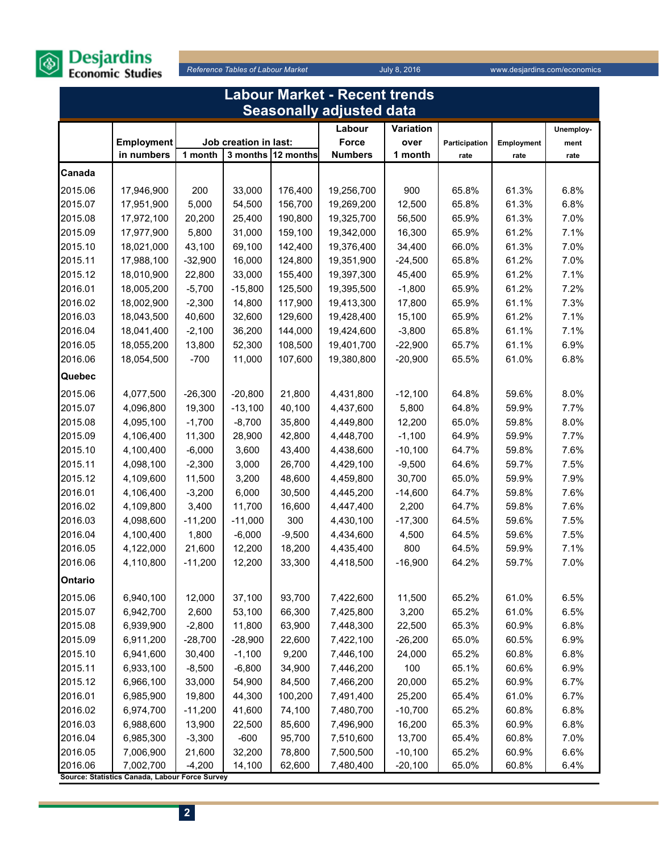

**2**

|         | <b>Labour Market - Recent trends</b>                        |           |                       |           |                                 |           |               |            |           |  |  |
|---------|-------------------------------------------------------------|-----------|-----------------------|-----------|---------------------------------|-----------|---------------|------------|-----------|--|--|
|         |                                                             |           |                       |           | <b>Seasonally adjusted data</b> |           |               |            |           |  |  |
|         |                                                             |           |                       |           | Labour                          | Variation |               |            | Unemploy- |  |  |
|         | <b>Employment</b>                                           |           | Job creation in last: |           | Force                           | over      | Participation | Employment | ment      |  |  |
|         | in numbers                                                  | 1 month   | 3 months              | 12 months | <b>Numbers</b>                  | 1 month   | rate          | rate       | rate      |  |  |
| Canada  |                                                             |           |                       |           |                                 |           |               |            |           |  |  |
| 2015.06 | 17,946,900                                                  | 200       | 33,000                | 176,400   | 19,256,700                      | 900       | 65.8%         | 61.3%      | 6.8%      |  |  |
| 2015.07 | 17,951,900                                                  | 5,000     | 54,500                | 156,700   | 19,269,200                      | 12,500    | 65.8%         | 61.3%      | 6.8%      |  |  |
| 2015.08 | 17,972,100                                                  | 20,200    | 25,400                | 190,800   | 19,325,700                      | 56,500    | 65.9%         | 61.3%      | 7.0%      |  |  |
| 2015.09 | 17,977,900                                                  | 5,800     | 31,000                | 159,100   | 19,342,000                      | 16,300    | 65.9%         | 61.2%      | 7.1%      |  |  |
| 2015.10 | 18,021,000                                                  | 43,100    | 69,100                | 142,400   | 19,376,400                      | 34,400    | 66.0%         | 61.3%      | 7.0%      |  |  |
| 2015.11 | 17,988,100                                                  | $-32,900$ | 16,000                | 124,800   | 19,351,900                      | $-24,500$ | 65.8%         | 61.2%      | 7.0%      |  |  |
| 2015.12 | 18,010,900                                                  | 22,800    | 33,000                | 155,400   | 19,397,300                      | 45,400    | 65.9%         | 61.2%      | 7.1%      |  |  |
| 2016.01 | 18,005,200                                                  | $-5,700$  | $-15,800$             | 125,500   | 19,395,500                      | $-1,800$  | 65.9%         | 61.2%      | 7.2%      |  |  |
| 2016.02 | 18,002,900                                                  | $-2,300$  | 14,800                | 117,900   | 19,413,300                      | 17,800    | 65.9%         | 61.1%      | 7.3%      |  |  |
| 2016.03 | 18,043,500                                                  | 40,600    | 32,600                | 129,600   | 19,428,400                      | 15,100    | 65.9%         | 61.2%      | 7.1%      |  |  |
| 2016.04 | 18,041,400                                                  | $-2,100$  | 36,200                | 144,000   | 19,424,600                      | $-3,800$  | 65.8%         | 61.1%      | 7.1%      |  |  |
| 2016.05 | 18,055,200                                                  | 13,800    | 52,300                | 108,500   | 19,401,700                      | $-22,900$ | 65.7%         | 61.1%      | 6.9%      |  |  |
| 2016.06 | 18,054,500                                                  | $-700$    | 11,000                | 107,600   | 19,380,800                      | $-20,900$ | 65.5%         | 61.0%      | 6.8%      |  |  |
| Quebec  |                                                             |           |                       |           |                                 |           |               |            |           |  |  |
| 2015.06 | 4,077,500                                                   | $-26,300$ | $-20,800$             | 21,800    | 4,431,800                       | $-12,100$ | 64.8%         | 59.6%      | 8.0%      |  |  |
| 2015.07 | 4,096,800                                                   | 19,300    | $-13,100$             | 40,100    | 4,437,600                       | 5,800     | 64.8%         | 59.9%      | 7.7%      |  |  |
| 2015.08 | 4,095,100                                                   | $-1,700$  | $-8,700$              | 35,800    | 4,449,800                       | 12,200    | 65.0%         | 59.8%      | 8.0%      |  |  |
| 2015.09 | 4,106,400                                                   | 11,300    | 28,900                | 42,800    | 4,448,700                       | $-1,100$  | 64.9%         | 59.9%      | 7.7%      |  |  |
| 2015.10 | 4,100,400                                                   | $-6,000$  | 3,600                 | 43,400    | 4,438,600                       | $-10,100$ | 64.7%         | 59.8%      | 7.6%      |  |  |
| 2015.11 | 4,098,100                                                   | $-2,300$  | 3,000                 | 26,700    | 4,429,100                       | $-9,500$  | 64.6%         | 59.7%      | 7.5%      |  |  |
| 2015.12 | 4,109,600                                                   | 11,500    | 3,200                 | 48,600    | 4,459,800                       | 30,700    | 65.0%         | 59.9%      | 7.9%      |  |  |
| 2016.01 | 4,106,400                                                   | $-3,200$  | 6,000                 | 30,500    | 4,445,200                       | $-14,600$ | 64.7%         | 59.8%      | 7.6%      |  |  |
| 2016.02 | 4,109,800                                                   | 3,400     | 11,700                | 16,600    | 4,447,400                       | 2,200     | 64.7%         | 59.8%      | 7.6%      |  |  |
| 2016.03 | 4,098,600                                                   | $-11,200$ | $-11,000$             | 300       | 4,430,100                       | $-17,300$ | 64.5%         | 59.6%      | 7.5%      |  |  |
| 2016.04 | 4,100,400                                                   | 1,800     | $-6,000$              | $-9,500$  | 4,434,600                       | 4,500     | 64.5%         | 59.6%      | 7.5%      |  |  |
| 2016.05 | 4,122,000                                                   | 21,600    | 12,200                | 18,200    | 4,435,400                       | 800       | 64.5%         | 59.9%      | 7.1%      |  |  |
| 2016.06 | 4,110,800                                                   | $-11,200$ | 12,200                | 33,300    | 4,418,500                       | $-16,900$ | 64.2%         | 59.7%      | 7.0%      |  |  |
| Ontario |                                                             |           |                       |           |                                 |           |               |            |           |  |  |
| 2015.06 | 6,940,100                                                   | 12,000    | 37,100                | 93,700    | 7,422,600                       | 11,500    | 65.2%         | 61.0%      | 6.5%      |  |  |
| 2015.07 | 6,942,700                                                   | 2,600     | 53,100                | 66,300    | 7,425,800                       | 3,200     | 65.2%         | 61.0%      | 6.5%      |  |  |
| 2015.08 | 6,939,900                                                   | $-2,800$  | 11,800                | 63,900    | 7,448,300                       | 22,500    | 65.3%         | 60.9%      | 6.8%      |  |  |
| 2015.09 | 6,911,200                                                   | $-28,700$ | $-28,900$             | 22,600    | 7,422,100                       | $-26,200$ | 65.0%         | 60.5%      | 6.9%      |  |  |
| 2015.10 | 6,941,600                                                   | 30,400    | $-1,100$              | 9,200     | 7,446,100                       | 24,000    | 65.2%         | 60.8%      | 6.8%      |  |  |
| 2015.11 | 6,933,100                                                   | $-8,500$  | $-6,800$              | 34,900    | 7,446,200                       | 100       | 65.1%         | 60.6%      | 6.9%      |  |  |
| 2015.12 | 6,966,100                                                   | 33,000    | 54,900                | 84,500    | 7,466,200                       | 20,000    | 65.2%         | 60.9%      | 6.7%      |  |  |
| 2016.01 | 6,985,900                                                   | 19,800    | 44,300                | 100,200   | 7,491,400                       | 25,200    | 65.4%         | 61.0%      | 6.7%      |  |  |
| 2016.02 | 6,974,700                                                   | $-11,200$ | 41,600                | 74,100    | 7,480,700                       | $-10,700$ | 65.2%         | 60.8%      | 6.8%      |  |  |
| 2016.03 | 6,988,600                                                   | 13,900    | 22,500                | 85,600    | 7,496,900                       | 16,200    | 65.3%         | 60.9%      | 6.8%      |  |  |
| 2016.04 | 6,985,300                                                   | $-3,300$  | $-600$                | 95,700    | 7,510,600                       | 13,700    | 65.4%         | 60.8%      | 7.0%      |  |  |
| 2016.05 | 7,006,900                                                   | 21,600    | 32,200                | 78,800    | 7,500,500                       | $-10,100$ | 65.2%         | 60.9%      | 6.6%      |  |  |
| 2016.06 | 7,002,700<br>Source: Statistics Canada, Labour Force Survey | $-4,200$  | 14,100                | 62,600    | 7,480,400                       | $-20,100$ | 65.0%         | 60.8%      | 6.4%      |  |  |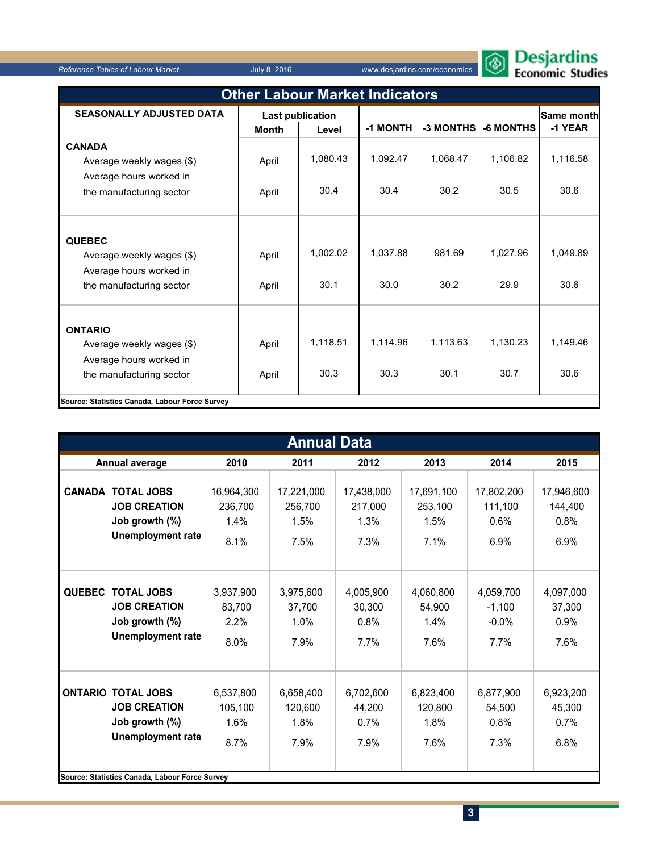*Reference Tables of Labour Market* July 8, 2016 www.desjardins.com/economics



| Cojurumo |  |                |
|----------|--|----------------|
|          |  | onomic Studies |

| <b>Other Labour Market Indicators</b>                                                              |                         |                  |                  |                  |                  |                   |  |  |  |
|----------------------------------------------------------------------------------------------------|-------------------------|------------------|------------------|------------------|------------------|-------------------|--|--|--|
| <b>SEASONALLY ADJUSTED DATA</b>                                                                    | <b>Last publication</b> |                  |                  |                  |                  | <b>Same month</b> |  |  |  |
|                                                                                                    | <b>Month</b>            | Level            | -1 MONTH         | -3 MONTHS        | -6 MONTHS        | -1 YEAR           |  |  |  |
| <b>CANADA</b>                                                                                      |                         |                  |                  |                  |                  |                   |  |  |  |
| Average weekly wages (\$)                                                                          | April                   | 1,080.43         | 1,092.47         | 1,068.47         | 1,106.82         | 1,116.58          |  |  |  |
| Average hours worked in                                                                            |                         |                  |                  |                  |                  |                   |  |  |  |
| the manufacturing sector                                                                           | April                   | 30.4             | 30.4             | 30.2             | 30.5             | 30.6              |  |  |  |
| <b>QUEBEC</b><br>Average weekly wages (\$)<br>Average hours worked in<br>the manufacturing sector  | April<br>April          | 1,002.02<br>30.1 | 1,037.88<br>30.0 | 981.69<br>30.2   | 1,027.96<br>29.9 | 1,049.89<br>30.6  |  |  |  |
| <b>ONTARIO</b><br>Average weekly wages (\$)<br>Average hours worked in<br>the manufacturing sector | April<br>April          | 1,118.51<br>30.3 | 1,114.96<br>30.3 | 1,113.63<br>30.1 | 1.130.23<br>30.7 | 1,149.46<br>30.6  |  |  |  |
| Source: Statistics Canada, Labour Force Survey                                                     |                         |                  |                  |                  |                  |                   |  |  |  |

|               | <b>Annual Data</b>                                                                                                                        |                                       |                                       |                                       |                                       |                                          |                                       |  |  |  |  |
|---------------|-------------------------------------------------------------------------------------------------------------------------------------------|---------------------------------------|---------------------------------------|---------------------------------------|---------------------------------------|------------------------------------------|---------------------------------------|--|--|--|--|
|               | Annual average                                                                                                                            | 2010                                  | 2011                                  | 2012                                  | 2013                                  | 2014                                     | 2015                                  |  |  |  |  |
|               | <b>CANADA TOTAL JOBS</b><br><b>JOB CREATION</b><br>Job growth (%)<br><b>Unemployment rate</b>                                             | 16,964,300<br>236,700<br>1.4%<br>8.1% | 17,221,000<br>256,700<br>1.5%<br>7.5% | 17,438,000<br>217,000<br>1.3%<br>7.3% | 17,691,100<br>253,100<br>1.5%<br>7.1% | 17,802,200<br>111,100<br>$0.6\%$<br>6.9% | 17,946,600<br>144,400<br>0.8%<br>6.9% |  |  |  |  |
| <b>QUEBEC</b> | <b>TOTAL JOBS</b><br><b>JOB CREATION</b><br>Job growth (%)<br><b>Unemployment rate</b>                                                    | 3,937,900<br>83,700<br>2.2%<br>8.0%   | 3,975,600<br>37,700<br>1.0%<br>7.9%   | 4,005,900<br>30,300<br>0.8%<br>7.7%   | 4,060,800<br>54,900<br>1.4%<br>7.6%   | 4,059,700<br>$-1,100$<br>$-0.0%$<br>7.7% | 4,097,000<br>37,300<br>0.9%<br>7.6%   |  |  |  |  |
|               | <b>ONTARIO TOTAL JOBS</b><br><b>JOB CREATION</b><br>Job growth (%)<br>Unemployment rate<br>Source: Statistics Canada, Labour Force Survey | 6,537,800<br>105,100<br>1.6%<br>8.7%  | 6,658,400<br>120,600<br>1.8%<br>7.9%  | 6,702,600<br>44,200<br>0.7%<br>7.9%   | 6,823,400<br>120,800<br>1.8%<br>7.6%  | 6,877,900<br>54,500<br>0.8%<br>7.3%      | 6,923,200<br>45,300<br>0.7%<br>6.8%   |  |  |  |  |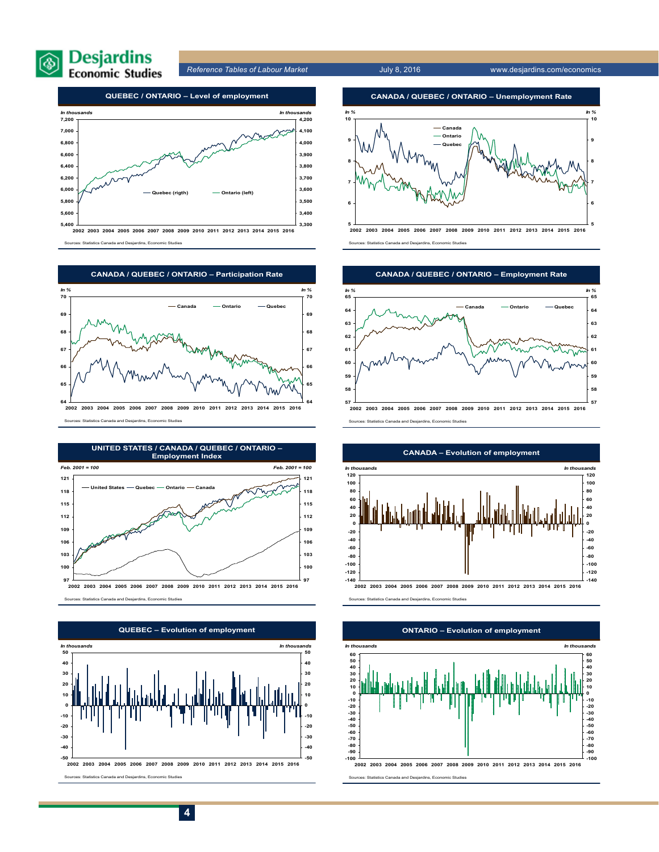

*Reference Tables of Labour Market* July 8, 2016 www.desjardins.com/economics



**2002 2003 2004 2005 2006 2007 2008 2009 2010 2011 2012 2013 2014 2015 2016** Sources: Statistics Canada and Desjardins, Economic Studies



Sources: Statistics Canada and Desjardins, Economic Studies







**5 2002 2003 2004 2005 2006 2007 2008 2009 2010 2011 2012 2013 2014 2015 2016** Sources: Statistics Canada and Desjardins, Economic Studies



Sources: Statistics Canada and Desjardins, Economic Studies



#### **CANADA – Evolution of employment**

stics Canada and Desjardins, Economic Studies